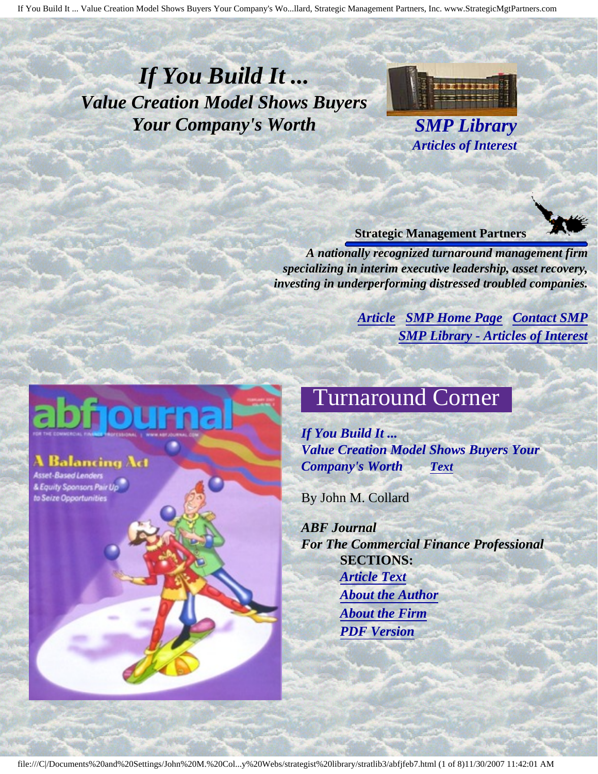# <span id="page-0-4"></span><span id="page-0-3"></span>*If You Build It ... Value Creation Model Shows Buyers Your Company's Worth SMP Library*

<span id="page-0-0"></span>Balancing Act

<span id="page-0-2"></span><span id="page-0-1"></span>& Equity Sponsors Pair Up to Seize Opportunities



*Articles of Interest*

#### **Strategic Management Partners**

*A nationally recognized turnaround management firm specializing in interim executive leadership, asset recovery, investing in underperforming distressed troubled companies.*

> *[Article](#page-0-0) [SMP Home Page](http://members.aol.com/strategist/home.html#TOP) [Contact SMP](#page-6-0) [SMP Library - Articles of Interest](http://members.aol.com/stratlib3/libindx.html#TOP)*

# Turnaround Corner

*If You Build It ... Value Creation Model Shows Buyers Your Company's Worth [Text](#page-0-1)*

By John M. Collard

*ABF Journal For The Commercial Finance Professional* **SECTIONS:** *[Article Text](#page-0-1) [About the Author](#page-5-0) [About the Firm](#page-6-1) [PDF Version](http://members.aol.com/stratlib3/abfjfeb7.pdf)*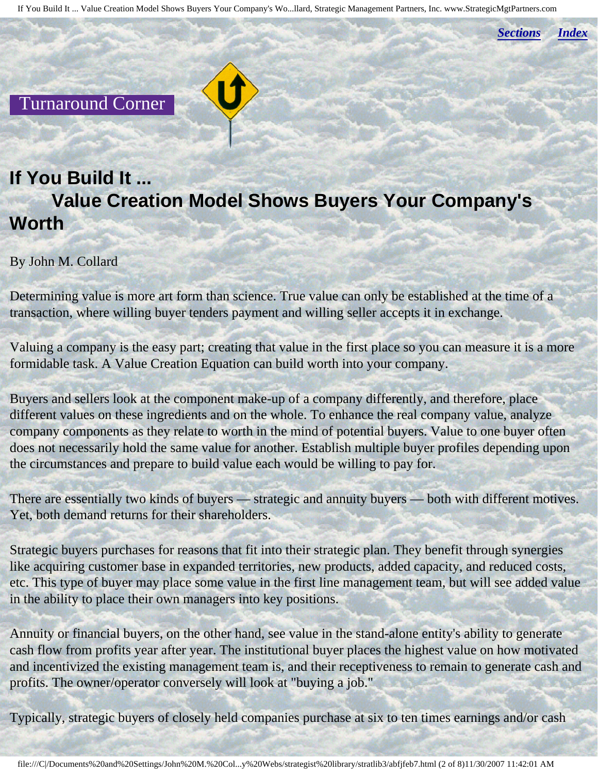*[Sections](#page-0-2) [Index](#page-0-3)*

Turnaround Corner

# **If You Build It ... Value Creation Model Shows Buyers Your Company's Worth**

By John M. Collard

Determining value is more art form than science. True value can only be established at the time of a transaction, where willing buyer tenders payment and willing seller accepts it in exchange.

Valuing a company is the easy part; creating that value in the first place so you can measure it is a more formidable task. A Value Creation Equation can build worth into your company.

Buyers and sellers look at the component make-up of a company differently, and therefore, place different values on these ingredients and on the whole. To enhance the real company value, analyze company components as they relate to worth in the mind of potential buyers. Value to one buyer often does not necessarily hold the same value for another. Establish multiple buyer profiles depending upon the circumstances and prepare to build value each would be willing to pay for.

There are essentially two kinds of buyers — strategic and annuity buyers — both with different motives. Yet, both demand returns for their shareholders.

Strategic buyers purchases for reasons that fit into their strategic plan. They benefit through synergies like acquiring customer base in expanded territories, new products, added capacity, and reduced costs, etc. This type of buyer may place some value in the first line management team, but will see added value in the ability to place their own managers into key positions.

Annuity or financial buyers, on the other hand, see value in the stand-alone entity's ability to generate cash flow from profits year after year. The institutional buyer places the highest value on how motivated and incentivized the existing management team is, and their receptiveness to remain to generate cash and profits. The owner/operator conversely will look at "buying a job."

Typically, strategic buyers of closely held companies purchase at six to ten times earnings and/or cash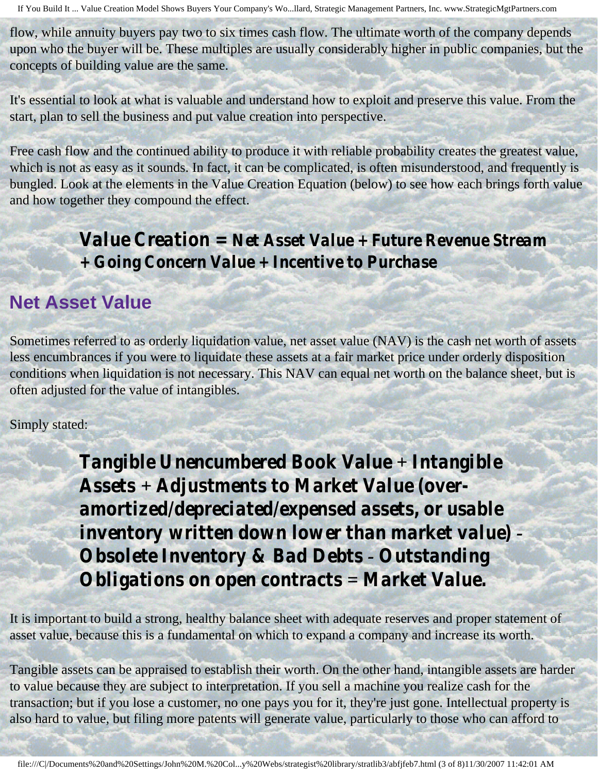flow, while annuity buyers pay two to six times cash flow. The ultimate worth of the company depends upon who the buyer will be. These multiples are usually considerably higher in public companies, but the concepts of building value are the same.

It's essential to look at what is valuable and understand how to exploit and preserve this value. From the start, plan to sell the business and put value creation into perspective.

Free cash flow and the continued ability to produce it with reliable probability creates the greatest value, which is not as easy as it sounds. In fact, it can be complicated, is often misunderstood, and frequently is bungled. Look at the elements in the Value Creation Equation (below) to see how each brings forth value and how together they compound the effect.

> *Value Creation = Net Asset Value + Future Revenue Stream + Going Concern Value + Incentive to Purchase*

#### **Net Asset Value**

Sometimes referred to as orderly liquidation value, net asset value (NAV) is the cash net worth of assets less encumbrances if you were to liquidate these assets at a fair market price under orderly disposition conditions when liquidation is not necessary. This NAV can equal net worth on the balance sheet, but is often adjusted for the value of intangibles.

Simply stated:

*Tangible Unencumbered Book Value + Intangible Assets + Adjustments to Market Value (overamortized/depreciated/expensed assets, or usable inventory written down lower than market value) - Obsolete Inventory & Bad Debts - Outstanding Obligations on open contracts = Market Value.*

It is important to build a strong, healthy balance sheet with adequate reserves and proper statement of asset value, because this is a fundamental on which to expand a company and increase its worth.

Tangible assets can be appraised to establish their worth. On the other hand, intangible assets are harder to value because they are subject to interpretation. If you sell a machine you realize cash for the transaction; but if you lose a customer, no one pays you for it, they're just gone. Intellectual property is also hard to value, but filing more patents will generate value, particularly to those who can afford to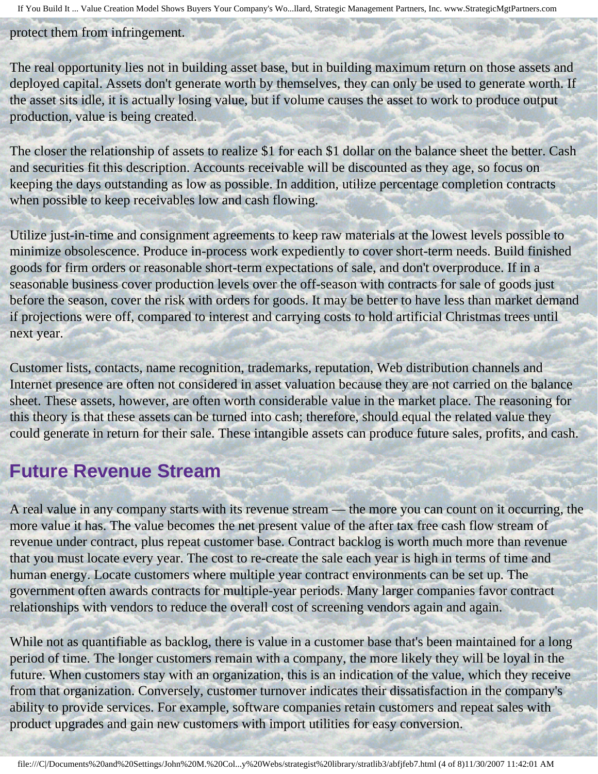protect them from infringement.

The real opportunity lies not in building asset base, but in building maximum return on those assets and deployed capital. Assets don't generate worth by themselves, they can only be used to generate worth. If the asset sits idle, it is actually losing value, but if volume causes the asset to work to produce output production, value is being created.

The closer the relationship of assets to realize \$1 for each \$1 dollar on the balance sheet the better. Cash and securities fit this description. Accounts receivable will be discounted as they age, so focus on keeping the days outstanding as low as possible. In addition, utilize percentage completion contracts when possible to keep receivables low and cash flowing.

Utilize just-in-time and consignment agreements to keep raw materials at the lowest levels possible to minimize obsolescence. Produce in-process work expediently to cover short-term needs. Build finished goods for firm orders or reasonable short-term expectations of sale, and don't overproduce. If in a seasonable business cover production levels over the off-season with contracts for sale of goods just before the season, cover the risk with orders for goods. It may be better to have less than market demand if projections were off, compared to interest and carrying costs to hold artificial Christmas trees until next year.

Customer lists, contacts, name recognition, trademarks, reputation, Web distribution channels and Internet presence are often not considered in asset valuation because they are not carried on the balance sheet. These assets, however, are often worth considerable value in the market place. The reasoning for this theory is that these assets can be turned into cash; therefore, should equal the related value they could generate in return for their sale. These intangible assets can produce future sales, profits, and cash.

### **Future Revenue Stream**

A real value in any company starts with its revenue stream — the more you can count on it occurring, the more value it has. The value becomes the net present value of the after tax free cash flow stream of revenue under contract, plus repeat customer base. Contract backlog is worth much more than revenue that you must locate every year. The cost to re-create the sale each year is high in terms of time and human energy. Locate customers where multiple year contract environments can be set up. The government often awards contracts for multiple-year periods. Many larger companies favor contract relationships with vendors to reduce the overall cost of screening vendors again and again.

While not as quantifiable as backlog, there is value in a customer base that's been maintained for a long period of time. The longer customers remain with a company, the more likely they will be loyal in the future. When customers stay with an organization, this is an indication of the value, which they receive from that organization. Conversely, customer turnover indicates their dissatisfaction in the company's ability to provide services. For example, software companies retain customers and repeat sales with product upgrades and gain new customers with import utilities for easy conversion.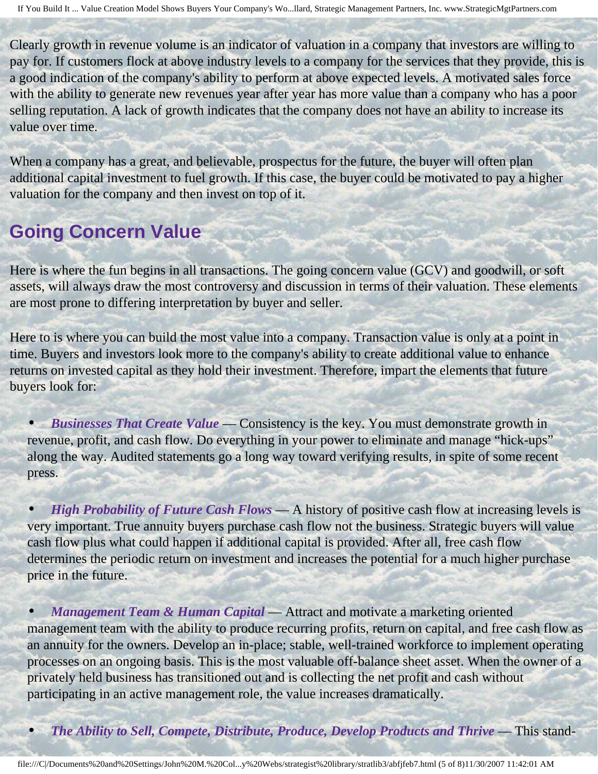Clearly growth in revenue volume is an indicator of valuation in a company that investors are willing to pay for. If customers flock at above industry levels to a company for the services that they provide, this is a good indication of the company's ability to perform at above expected levels. A motivated sales force with the ability to generate new revenues year after year has more value than a company who has a poor selling reputation. A lack of growth indicates that the company does not have an ability to increase its value over time.

When a company has a great, and believable, prospectus for the future, the buyer will often plan additional capital investment to fuel growth. If this case, the buyer could be motivated to pay a higher valuation for the company and then invest on top of it.

# **Going Concern Value**

Here is where the fun begins in all transactions. The going concern value (GCV) and goodwill, or soft assets, will always draw the most controversy and discussion in terms of their valuation. These elements are most prone to differing interpretation by buyer and seller.

Here to is where you can build the most value into a company. Transaction value is only at a point in time. Buyers and investors look more to the company's ability to create additional value to enhance returns on invested capital as they hold their investment. Therefore, impart the elements that future buyers look for:

• *Businesses That Create Value* — Consistency is the key. You must demonstrate growth in revenue, profit, and cash flow. Do everything in your power to eliminate and manage "hick-ups" along the way. Audited statements go a long way toward verifying results, in spite of some recent press.

• *High Probability of Future Cash Flows* — A history of positive cash flow at increasing levels is very important. True annuity buyers purchase cash flow not the business. Strategic buyers will value cash flow plus what could happen if additional capital is provided. After all, free cash flow determines the periodic return on investment and increases the potential for a much higher purchase price in the future.

• *Management Team & Human Capital* — Attract and motivate a marketing oriented management team with the ability to produce recurring profits, return on capital, and free cash flow as an annuity for the owners. Develop an in-place; stable, well-trained workforce to implement operating processes on an ongoing basis. This is the most valuable off-balance sheet asset. When the owner of a privately held business has transitioned out and is collecting the net profit and cash without participating in an active management role, the value increases dramatically.

*The Ability to Sell, Compete, Distribute, Produce, Develop Products and Thrive* — This stand-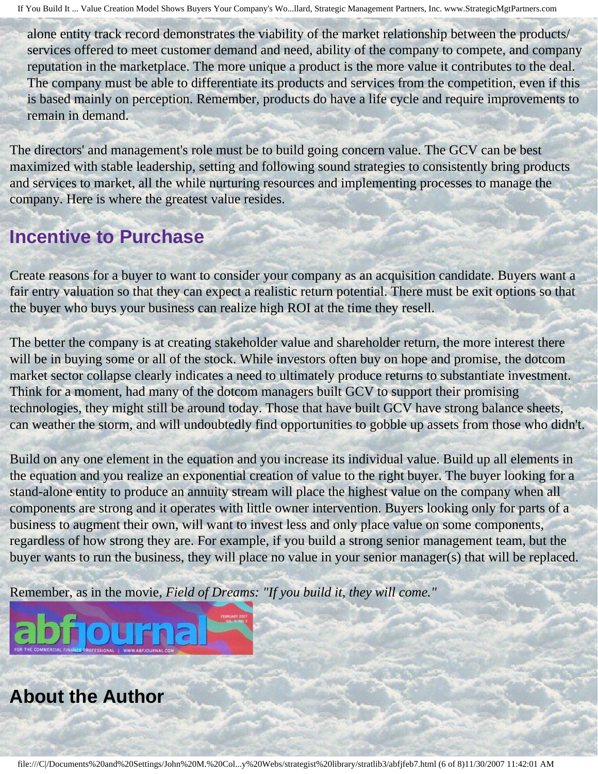alone entity track record demonstrates the viability of the market relationship between the products/ services offered to meet customer demand and need, ability of the company to compete, and company reputation in the marketplace. The more unique a product is the more value it contributes to the deal. The company must be able to differentiate its products and services from the competition, even if this is based mainly on perception. Remember, products do have a life cycle and require improvements to remain in demand.

The directors' and management's role must be to build going concern value. The GCV can be best maximized with stable leadership, setting and following sound strategies to consistently bring products and services to market, all the while nurturing resources and implementing processes to manage the company. Here is where the greatest value resides.

# **Incentive to Purchase**

Create reasons for a buyer to want to consider your company as an acquisition candidate. Buyers want a fair entry valuation so that they can expect a realistic return potential. There must be exit options so that the buyer who buys your business can realize high ROI at the time they resell.

The better the company is at creating stakeholder value and shareholder return, the more interest there will be in buying some or all of the stock. While investors often buy on hope and promise, the dotcom market sector collapse clearly indicates a need to ultimately produce returns to substantiate investment. Think for a moment, had many of the dotcom managers built GCV to support their promising technologies, they might still be around today. Those that have built GCV have strong balance sheets, can weather the storm, and will undoubtedly find opportunities to gobble up assets from those who didn't.

Build on any one element in the equation and you increase its individual value. Build up all elements in the equation and you realize an exponential creation of value to the right buyer. The buyer looking for a stand-alone entity to produce an annuity stream will place the highest value on the company when all components are strong and it operates with little owner intervention. Buyers looking only for parts of a business to augment their own, will want to invest less and only place value on some components, regardless of how strong they are. For example, if you build a strong senior management team, but the buyer wants to run the business, they will place no value in your senior manager(s) that will be replaced.

Remember, as in the movie, *Field of Dreams: "If you build it, they will come."*



# <span id="page-5-0"></span>**About the Author**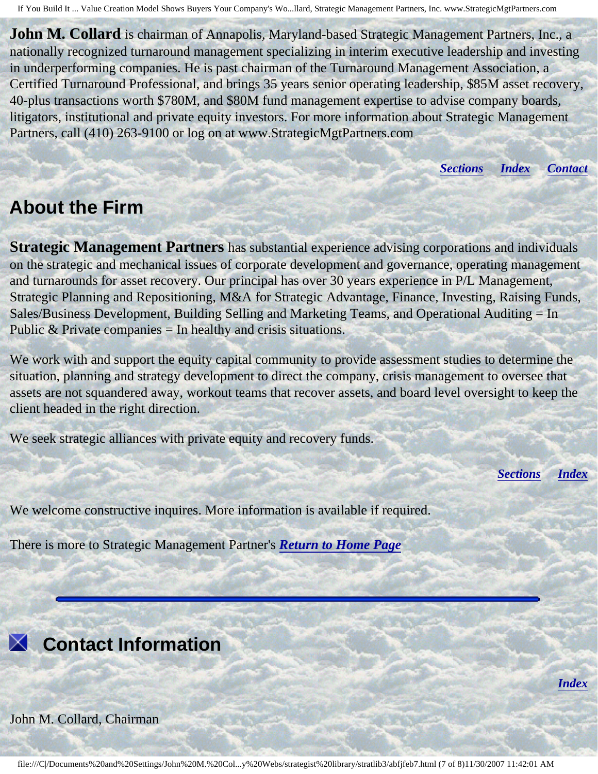**John M. Collard** is chairman of Annapolis, Maryland-based Strategic Management Partners, Inc., a nationally recognized turnaround management specializing in interim executive leadership and investing in underperforming companies. He is past chairman of the Turnaround Management Association, a Certified Turnaround Professional, and brings 35 years senior operating leadership, \$85M asset recovery, 40-plus transactions worth \$780M, and \$80M fund management expertise to advise company boards, litigators, institutional and private equity investors. For more information about Strategic Management Partners, call (410) 263-9100 or log on at www.StrategicMgtPartners.com

*[Sections](#page-0-2) [Index](#page-0-3) [Contact](#page-6-0)*

### <span id="page-6-1"></span>**About the Firm**

**Strategic Management Partners** has substantial experience advising corporations and individuals on the strategic and mechanical issues of corporate development and governance, operating management and turnarounds for asset recovery. Our principal has over 30 years experience in P/L Management, Strategic Planning and Repositioning, M&A for Strategic Advantage, Finance, Investing, Raising Funds, Sales/Business Development, Building Selling and Marketing Teams, and Operational Auditing = In Public  $&$  Private companies  $=$  In healthy and crisis situations.

We work with and support the equity capital community to provide assessment studies to determine the situation, planning and strategy development to direct the company, crisis management to oversee that assets are not squandered away, workout teams that recover assets, and board level oversight to keep the client headed in the right direction.

We seek strategic alliances with private equity and recovery funds.

*[Sections](#page-0-2) [Index](#page-0-3)*

*[Index](#page-0-3)*

We welcome constructive inquires. More information is available if required.

There is more to Strategic Management Partner's *[Return to Home Page](http://members.aol.com/strategist/home.html#TOP)*

<span id="page-6-0"></span>

John M. Collard, Chairman